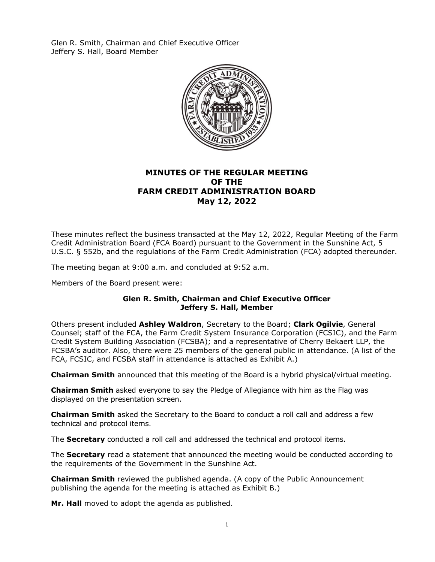Glen R. Smith, Chairman and Chief Executive Officer Jeffery S. Hall, Board Member



### **MINUTES OF THE REGULAR MEETING OF THE FARM CREDIT ADMINISTRATION BOARD May 12, 2022**

These minutes reflect the business transacted at the May 12, 2022, Regular Meeting of the Farm Credit Administration Board (FCA Board) pursuant to the Government in the Sunshine Act, 5 U.S.C. § 552b, and the regulations of the Farm Credit Administration (FCA) adopted thereunder.

The meeting began at 9:00 a.m. and concluded at 9:52 a.m.

Members of the Board present were:

#### **Glen R. Smith, Chairman and Chief Executive Officer Jeffery S. Hall, Member**

Others present included **Ashley Waldron**, Secretary to the Board; **Clark Ogilvie**, General Counsel; staff of the FCA, the Farm Credit System Insurance Corporation (FCSIC), and the Farm Credit System Building Association (FCSBA); and a representative of Cherry Bekaert LLP, the FCSBA's auditor. Also, there were 25 members of the general public in attendance. (A list of the FCA, FCSIC, and FCSBA staff in attendance is attached as Exhibit A.)

**Chairman Smith** announced that this meeting of the Board is a hybrid physical/virtual meeting.

**Chairman Smith** asked everyone to say the Pledge of Allegiance with him as the Flag was displayed on the presentation screen.

**Chairman Smith** asked the Secretary to the Board to conduct a roll call and address a few technical and protocol items.

The **Secretary** conducted a roll call and addressed the technical and protocol items.

The **Secretary** read a statement that announced the meeting would be conducted according to the requirements of the Government in the Sunshine Act.

**Chairman Smith** reviewed the published agenda. (A copy of the Public Announcement publishing the agenda for the meeting is attached as Exhibit B.)

**Mr. Hall** moved to adopt the agenda as published.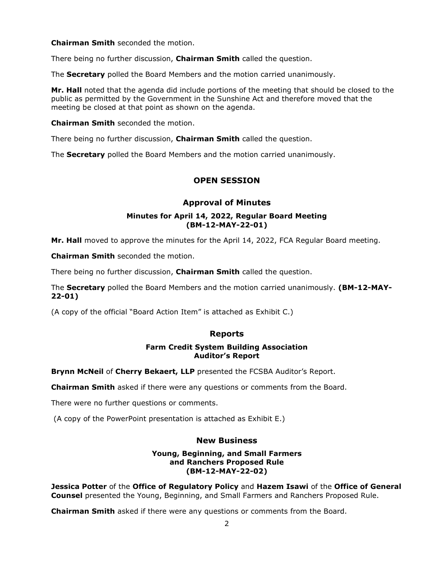**Chairman Smith** seconded the motion.

There being no further discussion, **Chairman Smith** called the question.

The **Secretary** polled the Board Members and the motion carried unanimously.

**Mr. Hall** noted that the agenda did include portions of the meeting that should be closed to the public as permitted by the Government in the Sunshine Act and therefore moved that the meeting be closed at that point as shown on the agenda.

**Chairman Smith** seconded the motion.

There being no further discussion, **Chairman Smith** called the question.

The **Secretary** polled the Board Members and the motion carried unanimously.

### **OPEN SESSION**

### **Approval of Minutes**

#### **Minutes for April 14, 2022, Regular Board Meeting (BM-12-MAY-22-01)**

**Mr. Hall** moved to approve the minutes for the April 14, 2022, FCA Regular Board meeting.

**Chairman Smith** seconded the motion.

There being no further discussion, **Chairman Smith** called the question.

The **Secretary** polled the Board Members and the motion carried unanimously. **(BM-12-MAY-22-01)** 

(A copy of the official "Board Action Item" is attached as Exhibit C.)

### **Reports**

### **Farm Credit System Building Association Auditor's Report**

**Brynn McNeil** of **Cherry Bekaert, LLP** presented the FCSBA Auditor's Report.

**Chairman Smith** asked if there were any questions or comments from the Board.

There were no further questions or comments.

(A copy of the PowerPoint presentation is attached as Exhibit E.)

### **New Business**

#### **Young, Beginning, and Small Farmers and Ranchers Proposed Rule (BM-12-MAY-22-02)**

**Jessica Potter** of the **Office of Regulatory Policy** and **Hazem Isawi** of the **Office of General Counsel** presented the Young, Beginning, and Small Farmers and Ranchers Proposed Rule.

**Chairman Smith** asked if there were any questions or comments from the Board.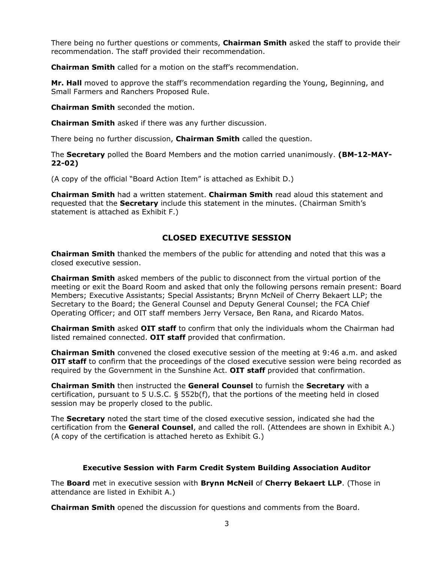There being no further questions or comments, **Chairman Smith** asked the staff to provide their recommendation. The staff provided their recommendation.

**Chairman Smith** called for a motion on the staff's recommendation.

**Mr. Hall** moved to approve the staff's recommendation regarding the Young, Beginning, and Small Farmers and Ranchers Proposed Rule.

**Chairman Smith** seconded the motion.

**Chairman Smith** asked if there was any further discussion.

There being no further discussion, **Chairman Smith** called the question.

The **Secretary** polled the Board Members and the motion carried unanimously. **(BM-12-MAY-22-02)** 

(A copy of the official "Board Action Item" is attached as Exhibit D.)

**Chairman Smith** had a written statement. **Chairman Smith** read aloud this statement and requested that the **Secretary** include this statement in the minutes. (Chairman Smith's statement is attached as Exhibit F.)

### **CLOSED EXECUTIVE SESSION**

**Chairman Smith** thanked the members of the public for attending and noted that this was a closed executive session.

**Chairman Smith** asked members of the public to disconnect from the virtual portion of the meeting or exit the Board Room and asked that only the following persons remain present: Board Members; Executive Assistants; Special Assistants; Brynn McNeil of Cherry Bekaert LLP; the Secretary to the Board; the General Counsel and Deputy General Counsel; the FCA Chief Operating Officer; and OIT staff members Jerry Versace, Ben Rana, and Ricardo Matos.

**Chairman Smith** asked **OIT staff** to confirm that only the individuals whom the Chairman had listed remained connected. **OIT staff** provided that confirmation.

**Chairman Smith** convened the closed executive session of the meeting at 9:46 a.m. and asked **OIT staff** to confirm that the proceedings of the closed executive session were being recorded as required by the Government in the Sunshine Act. **OIT staff** provided that confirmation.

**Chairman Smith** then instructed the **General Counsel** to furnish the **Secretary** with a certification, pursuant to 5 U.S.C. § 552b(f), that the portions of the meeting held in closed session may be properly closed to the public.

The **Secretary** noted the start time of the closed executive session, indicated she had the certification from the **General Counsel**, and called the roll. (Attendees are shown in Exhibit A.) (A copy of the certification is attached hereto as Exhibit G.)

#### **Executive Session with Farm Credit System Building Association Auditor**

The **Board** met in executive session with **Brynn McNeil** of **Cherry Bekaert LLP**. (Those in attendance are listed in Exhibit A.)

**Chairman Smith** opened the discussion for questions and comments from the Board.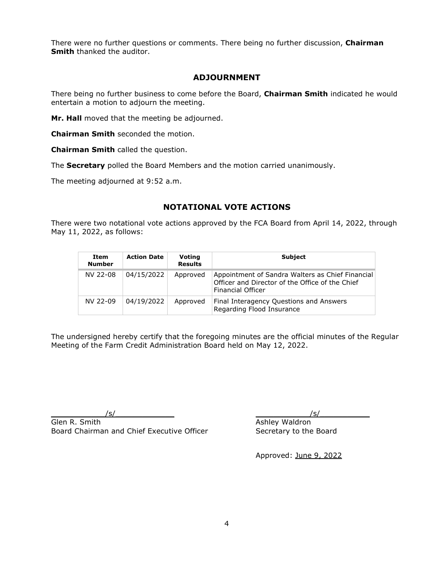There were no further questions or comments. There being no further discussion, **Chairman Smith** thanked the auditor.

### **ADJOURNMENT**

There being no further business to come before the Board, **Chairman Smith** indicated he would entertain a motion to adjourn the meeting.

**Mr. Hall** moved that the meeting be adjourned.

**Chairman Smith** seconded the motion.

**Chairman Smith** called the question.

The **Secretary** polled the Board Members and the motion carried unanimously.

The meeting adjourned at 9:52 a.m.

### **NOTATIONAL VOTE ACTIONS**

There were two notational vote actions approved by the FCA Board from April 14, 2022, through May 11, 2022, as follows:

| Item<br><b>Number</b> | <b>Action Date</b> | Voting<br><b>Results</b> | Subject                                                                                                                         |
|-----------------------|--------------------|--------------------------|---------------------------------------------------------------------------------------------------------------------------------|
| NV 22-08              | 04/15/2022         | Approved                 | Appointment of Sandra Walters as Chief Financial<br>Officer and Director of the Office of the Chief<br><b>Financial Officer</b> |
| NV 22-09              | 04/19/2022         | Approved                 | Final Interagency Questions and Answers<br>Regarding Flood Insurance                                                            |

The undersigned hereby certify that the foregoing minutes are the official minutes of the Regular Meeting of the Farm Credit Administration Board held on May 12, 2022.

 $\sqrt{s/2}$ 

Glen R. Smith Board Chairman and Chief Executive Officer  $\sqrt{s/2}$ 

Ashley Waldron Secretary to the Board

Approved: June 9, 2022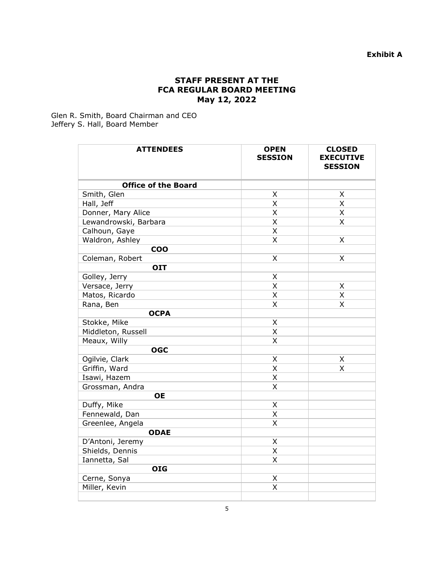### **STAFF PRESENT AT THE FCA REGULAR BOARD MEETING May 12, 2022**

Glen R. Smith, Board Chairman and CEO Jeffery S. Hall, Board Member

| <b>ATTENDEES</b>           | <b>OPEN</b><br><b>SESSION</b> | <b>CLOSED</b><br><b>EXECUTIVE</b><br><b>SESSION</b> |
|----------------------------|-------------------------------|-----------------------------------------------------|
| <b>Office of the Board</b> |                               |                                                     |
| Smith, Glen                | $\pmb{\mathsf{X}}$            | X                                                   |
| Hall, Jeff                 | X                             | X                                                   |
| Donner, Mary Alice         | X                             | X                                                   |
| Lewandrowski, Barbara      | X                             | Χ                                                   |
| Calhoun, Gaye              | X                             |                                                     |
| Waldron, Ashley            | X                             | X                                                   |
| <b>COO</b>                 |                               |                                                     |
| Coleman, Robert            | Χ                             | Χ                                                   |
| <b>OIT</b>                 |                               |                                                     |
| Golley, Jerry              | Χ                             |                                                     |
| Versace, Jerry             | $\overline{\mathsf{x}}$       | Χ                                                   |
| Matos, Ricardo             | X                             | X                                                   |
| Rana, Ben                  | X                             | Χ                                                   |
| <b>OCPA</b>                |                               |                                                     |
| Stokke, Mike               | X                             |                                                     |
| Middleton, Russell         | X                             |                                                     |
| Meaux, Willy               | X                             |                                                     |
| <b>OGC</b>                 |                               |                                                     |
| Ogilvie, Clark             | Χ                             | X                                                   |
| Griffin, Ward              | X                             | Χ                                                   |
| Isawi, Hazem               | X                             |                                                     |
| Grossman, Andra            | X                             |                                                     |
| <b>OE</b>                  |                               |                                                     |
| Duffy, Mike                | X                             |                                                     |
| Fennewald, Dan             | $\overline{\mathsf{x}}$       |                                                     |
| Greenlee, Angela           | X                             |                                                     |
| <b>ODAE</b>                |                               |                                                     |
| D'Antoni, Jeremy           | X                             |                                                     |
| Shields, Dennis            | X                             |                                                     |
| Iannetta, Sal              | Χ                             |                                                     |
| <b>OIG</b>                 |                               |                                                     |
| Cerne, Sonya               | X                             |                                                     |
| Miller, Kevin              | X                             |                                                     |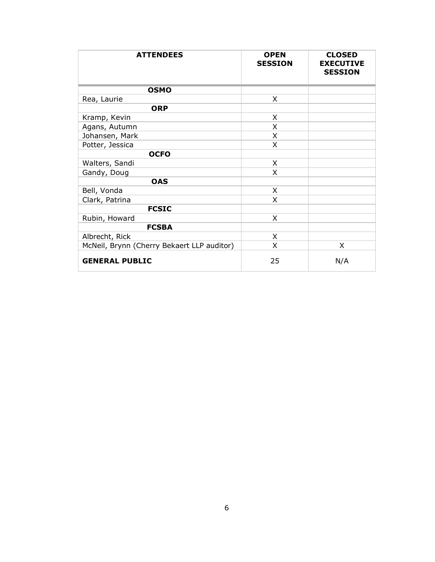| <b>ATTENDEES</b>                           | <b>OPEN</b><br><b>SESSION</b> | <b>CLOSED</b><br><b>EXECUTIVE</b><br><b>SESSION</b> |
|--------------------------------------------|-------------------------------|-----------------------------------------------------|
| <b>OSMO</b>                                |                               |                                                     |
| Rea, Laurie                                | X                             |                                                     |
| <b>ORP</b>                                 |                               |                                                     |
| Kramp, Kevin                               | X                             |                                                     |
| Agans, Autumn                              | X                             |                                                     |
| Johansen, Mark                             | X                             |                                                     |
| Potter, Jessica                            | X                             |                                                     |
| <b>OCFO</b>                                |                               |                                                     |
| Walters, Sandi                             | X                             |                                                     |
| Gandy, Doug                                | X                             |                                                     |
| <b>OAS</b>                                 |                               |                                                     |
| Bell, Vonda                                | X                             |                                                     |
| Clark, Patrina                             | X                             |                                                     |
| <b>FCSIC</b>                               |                               |                                                     |
| Rubin, Howard                              | X                             |                                                     |
| <b>FCSBA</b>                               |                               |                                                     |
| Albrecht, Rick                             | X                             |                                                     |
| McNeil, Brynn (Cherry Bekaert LLP auditor) | X                             | X                                                   |
| <b>GENERAL PUBLIC</b>                      | 25                            | N/A                                                 |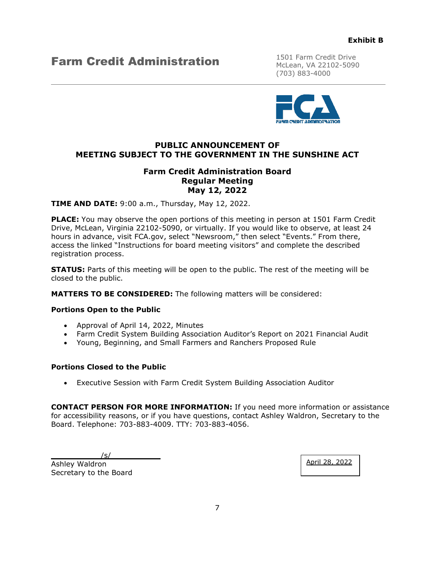### **Farm Credit Administration** 1501 Farm Credit Drive

McLean, VA 22102-5090 (703) 883-4000



### **PUBLIC ANNOUNCEMENT OF MEETING SUBJECT TO THE GOVERNMENT IN THE SUNSHINE ACT**

### **Farm Credit Administration Board Regular Meeting May 12, 2022**

**TIME AND DATE:** 9:00 a.m., Thursday, May 12, 2022.

**PLACE:** You may observe the open portions of this meeting in person at 1501 Farm Credit Drive, McLean, Virginia 22102-5090, or virtually. If you would like to observe, at least 24 hours in advance, visit FCA.gov, select "Newsroom," then select "Events." From there, access the linked "Instructions for board meeting visitors" and complete the described registration process.

**STATUS:** Parts of this meeting will be open to the public. The rest of the meeting will be closed to the public.

**MATTERS TO BE CONSIDERED:** The following matters will be considered:

#### **Portions Open to the Public**

- Approval of April 14, 2022, Minutes
- Farm Credit System Building Association Auditor's Report on 2021 Financial Audit
- Young, Beginning, and Small Farmers and Ranchers Proposed Rule

#### **Portions Closed to the Public**

• Executive Session with Farm Credit System Building Association Auditor

**CONTACT PERSON FOR MORE INFORMATION:** If you need more information or assistance for accessibility reasons, or if you have questions, contact Ashley Waldron, Secretary to the Board. Telephone: 703-883-4009. TTY: 703-883-4056.

 $\sqrt{s/2}$ 

Ashley Waldron Secretary to the Board April 28, 2022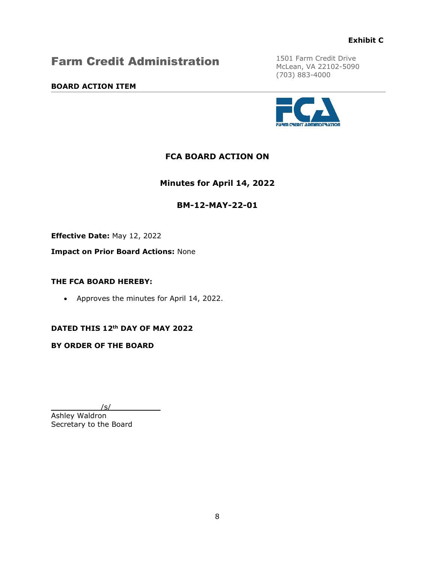### Farm Credit Administration

### **BOARD ACTION ITEM**

1501 Farm Credit Drive McLean, VA 22102-5090 (703) 883-4000



### **FCA BOARD ACTION ON**

**Minutes for April 14, 2022** 

### **BM-12-MAY-22-01**

**Effective Date:** May 12, 2022

**Impact on Prior Board Actions:** None

### **THE FCA BOARD HEREBY:**

• Approves the minutes for April 14, 2022.

### **DATED THIS 12th DAY OF MAY 2022**

**BY ORDER OF THE BOARD**

 $\sqrt{s/2}$ 

Ashley Waldron Secretary to the Board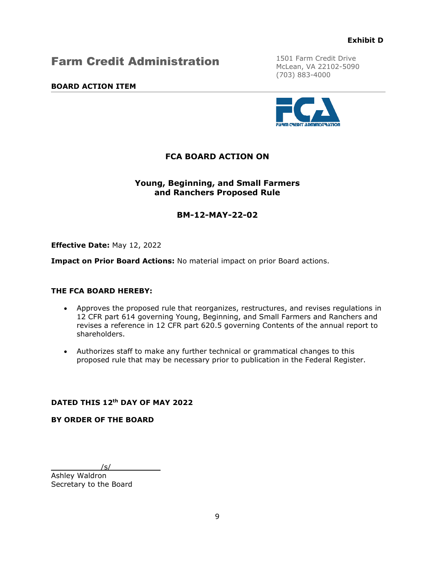### Farm Credit Administration

### **BOARD ACTION ITEM**

1501 Farm Credit Drive McLean, VA 22102-5090 (703) 883-4000



### **FCA BOARD ACTION ON**

### **Young, Beginning, and Small Farmers and Ranchers Proposed Rule**

### **BM-12-MAY-22-02**

**Effective Date:** May 12, 2022

**Impact on Prior Board Actions:** No material impact on prior Board actions.

### **THE FCA BOARD HEREBY:**

- Approves the proposed rule that reorganizes, restructures, and revises regulations in 12 CFR part 614 governing Young, Beginning, and Small Farmers and Ranchers and revises a reference in 12 CFR part 620.5 governing Contents of the annual report to shareholders.
- Authorizes staff to make any further technical or grammatical changes to this proposed rule that may be necessary prior to publication in the Federal Register.

### **DATED THIS 12th DAY OF MAY 2022**

#### **BY ORDER OF THE BOARD**

 $\sqrt{s/2}$ 

Ashley Waldron Secretary to the Board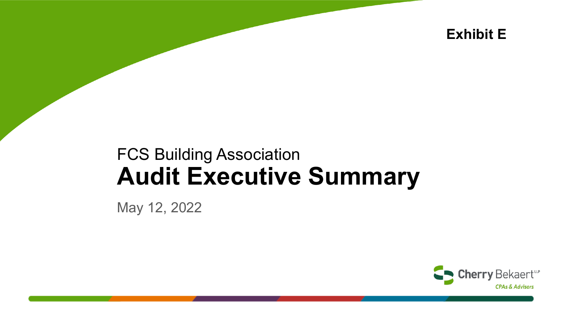**Exhibit E**

## FCS Building Association **Audit Executive Summary**

May 12, 2022

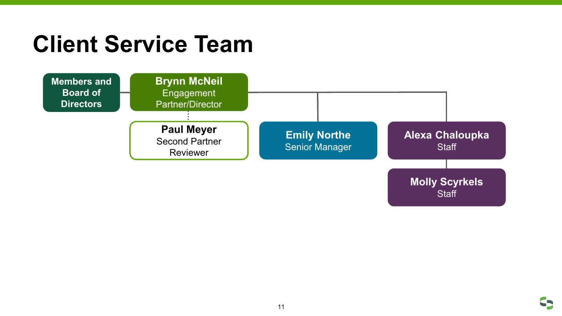## **Client Service Team**



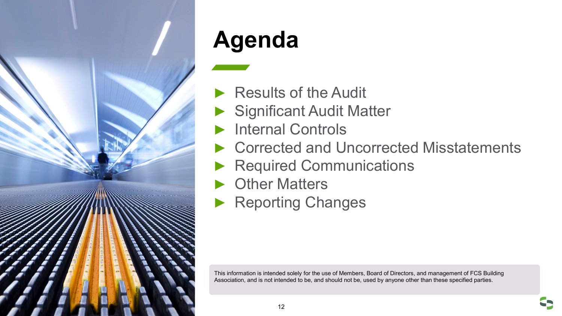

## **Agenda**

- ▶ Results of the Audit
- ▶ Significant Audit Matter
- Internal Controls
- ► Corrected and Uncorrected Misstatements
- **Required Communications**
- ► Other Matters
- ▶ Reporting Changes

This information is intended solely for the use of Members, Board of Directors, and management of FCS Building Association, and is not intended to be, and should not be, used by anyone other than these specified parties.

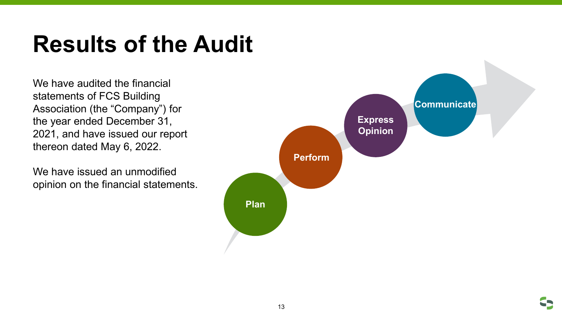## **Results of the Audit**

We have audited the financial statements of FCS Building Association (the "Company") for the year ended December 31, 2021, and have issued our report thereon dated May 6, 2022.

We have issued an unmodified opinion on the financial statements.

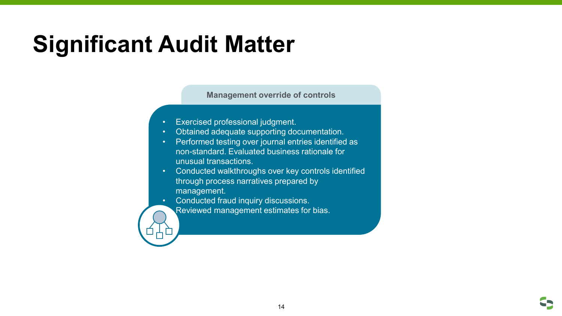## **Significant Audit Matter**

**Management override of controls**

- Exercised professional judgment.
- Obtained adequate supporting documentation.
- Performed testing over journal entries identified as non-standard. Evaluated business rationale for unusual transactions.
- Conducted walkthroughs over key controls identified through process narratives prepared by management.
- Conducted fraud inquiry discussions.
	- Reviewed management estimates for bias.

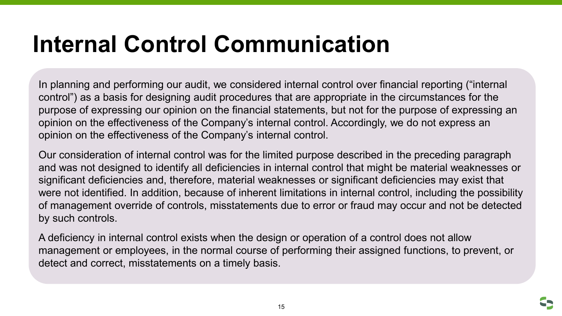## **Internal Control Communication**

In planning and performing our audit, we considered internal control over financial reporting ("internal control") as a basis for designing audit procedures that are appropriate in the circumstances for the purpose of expressing our opinion on the financial statements, but not for the purpose of expressing an opinion on the effectiveness of the Company's internal control. Accordingly, we do not express an opinion on the effectiveness of the Company's internal control.

Our consideration of internal control was for the limited purpose described in the preceding paragraph and was not designed to identify all deficiencies in internal control that might be material weaknesses or significant deficiencies and, therefore, material weaknesses or significant deficiencies may exist that were not identified. In addition, because of inherent limitations in internal control, including the possibility of management override of controls, misstatements due to error or fraud may occur and not be detected by such controls.

A deficiency in internal control exists when the design or operation of a control does not allow management or employees, in the normal course of performing their assigned functions, to prevent, or detect and correct, misstatements on a timely basis.

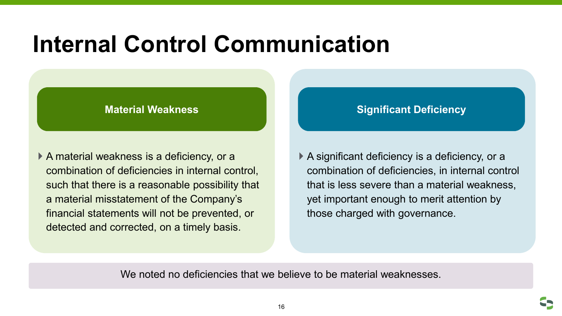## **Internal Control Communication**

 A material weakness is a deficiency, or a combination of deficiencies in internal control, such that there is a reasonable possibility that a material misstatement of the Company's financial statements will not be prevented, or detected and corrected, on a timely basis.

### **Material Weakness National Contract of Contract Contract On the Material Mediciency**

 A significant deficiency is a deficiency, or a combination of deficiencies, in internal control that is less severe than a material weakness, yet important enough to merit attention by those charged with governance.

We noted no deficiencies that we believe to be material weaknesses.

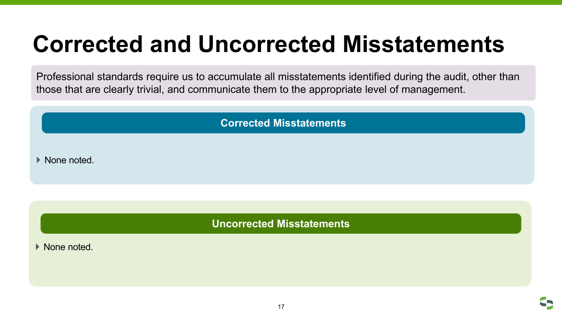## **Corrected and Uncorrected Misstatements**

Professional standards require us to accumulate all misstatements identified during the audit, other than those that are clearly trivial, and communicate them to the appropriate level of management.

**Corrected Misstatements**

▶ None noted.

**Uncorrected Misstatements**

▶ None noted.

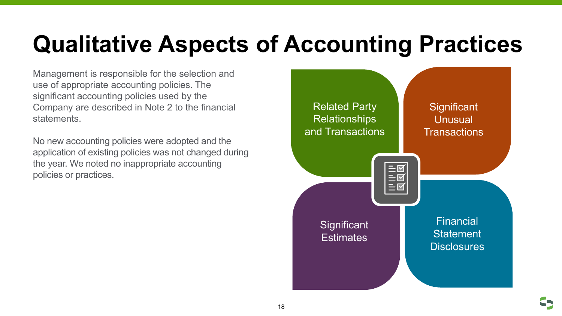Management is responsible for the selection and use of appropriate accounting policies. The significant accounting policies used by the Company are described in Note 2 to the financial statements.

No new accounting policies were adopted and the application of existing policies was not changed during the year. We noted no inappropriate accounting policies or practices.

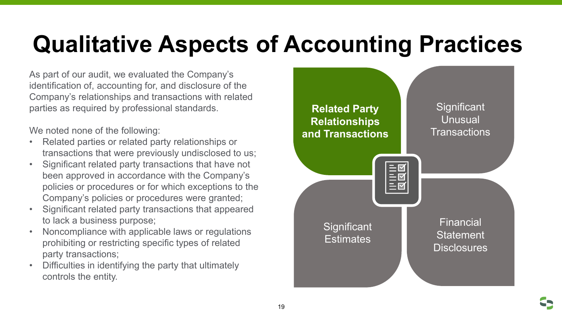As part of our audit, we evaluated the Company's identification of, accounting for, and disclosure of the Company's relationships and transactions with related parties as required by professional standards.

We noted none of the following:

- Related parties or related party relationships or transactions that were previously undisclosed to us;
- Significant related party transactions that have not been approved in accordance with the Company's policies or procedures or for which exceptions to the Company's policies or procedures were granted;
- Significant related party transactions that appeared to lack a business purpose;
- Noncompliance with applicable laws or regulations prohibiting or restricting specific types of related party transactions;
- Difficulties in identifying the party that ultimately controls the entity.



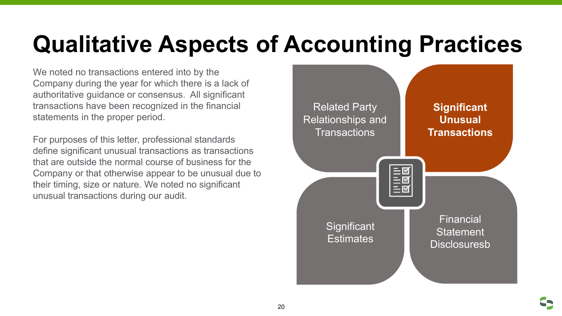We noted no transactions entered into by the Company during the year for which there is a lack of authoritative guidance or consensus. All significant transactions have been recognized in the financial statements in the proper period.

For purposes of this letter, professional standards define significant unusual transactions as transactions that are outside the normal course of business for the Company or that otherwise appear to be unusual due to their timing, size or nature. We noted no significant unusual transactions during our audit.

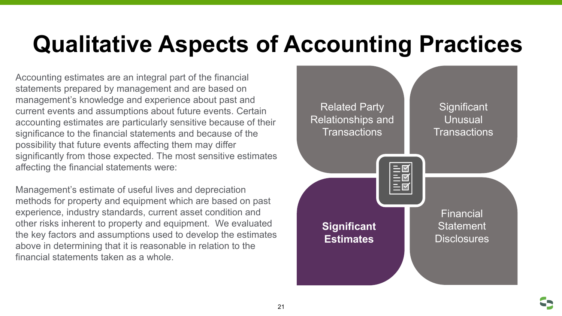Accounting estimates are an integral part of the financial statements prepared by management and are based on management's knowledge and experience about past and current events and assumptions about future events. Certain accounting estimates are particularly sensitive because of their significance to the financial statements and because of the possibility that future events affecting them may differ significantly from those expected. The most sensitive estimates affecting the financial statements were:

Management's estimate of useful lives and depreciation methods for property and equipment which are based on past experience, industry standards, current asset condition and other risks inherent to property and equipment. We evaluated the key factors and assumptions used to develop the estimates above in determining that it is reasonable in relation to the financial statements taken as a whole.



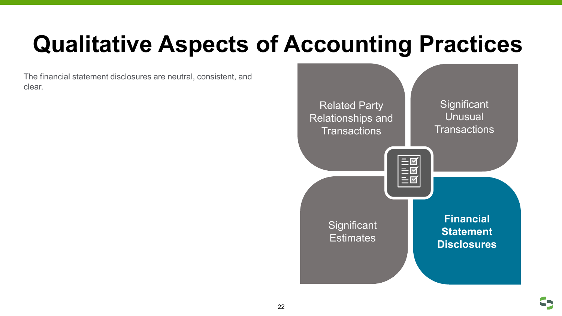The financial statement disclosures are neutral, consistent, and clear.



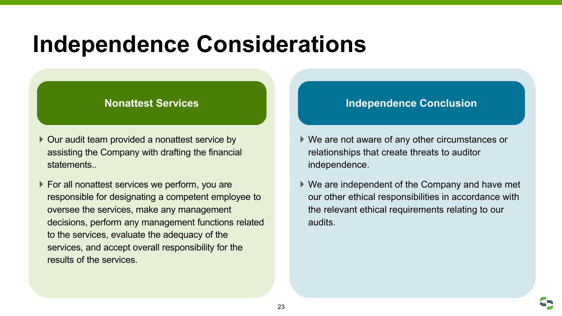## **Independence Considerations**

- ▶ Our audit team provided a nonattest service by assisting the Company with drafting the financial **statements**
- ▶ For all nonattest services we perform, you are responsible for designating a competent employee to oversee the services, make any management decisions, perform any management functions related to the services, evaluate the adequacy of the services, and accept overall responsibility for the results of the services.

### **Nonattest Services Independence Conclusion**

- ▶ We are not aware of any other circumstances or relationships that create threats to auditor independence.
- We are independent of the Company and have met our other ethical responsibilities in accordance with the relevant ethical requirements relating to our audits.

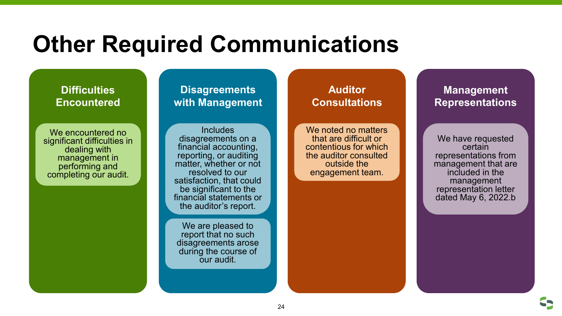## **Other Required Communications**

### **Difficulties Encountered**

We encountered no significant difficulties in dealing with management in performing and completing our audit.

### **Disagreements with Management**

Includes disagreements on a financial accounting, reporting, or auditing matter, whether or not resolved to our satisfaction, that could be significant to the financial statements or the auditor's report.

We are pleased to report that no such disagreements arose during the course of our audit.

### **Auditor Consultations**

We noted no matters that are difficult or contentious for which the auditor consulted outside the engagement team.

### **Management Representations**

We have requested certain representations from management that are included in the management representation letter dated May 6, 2022.b

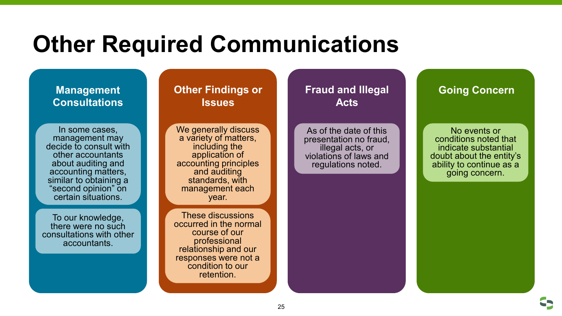## **Other Required Communications**

### **Management Consultations**

In some cases, management may decide to consult with other accountants about auditing and accounting matters, similar to obtaining a "second opinion" on certain situations.

To our knowledge, there were no such consultations with other accountants.

### **Other Findings or Issues**

We generally discuss a variety of matters, including the application of accounting principles and auditing standards, with management each year.

These discussions occurred in the normal course of our professional relationship and our responses were not a condition to our retention.

### **Fraud and Illegal Acts**

As of the date of this presentation no fraud, illegal acts, or violations of laws and regulations noted.

### **Going Concern**

No events or conditions noted that indicate substantial doubt about the entity's ability to continue as a going concern.

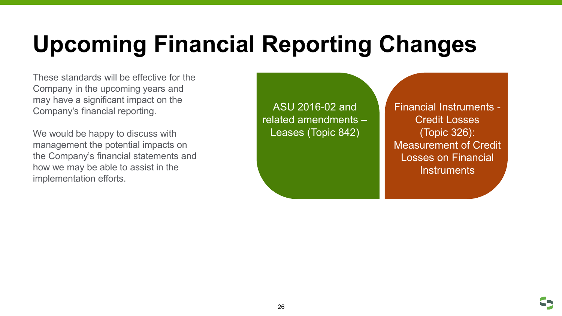# **Upcoming Financial Reporting Changes**

These standards will be effective for the Company in the upcoming years and may have a significant impact on the Company's financial reporting.

We would be happy to discuss with management the potential impacts on the Company's financial statements and how we may be able to assist in the implementation efforts.

ASU 2016-02 and related amendments – Leases (Topic 842)

Financial Instruments - Credit Losses (Topic 326): Measurement of Credit Losses on Financial **Instruments** 

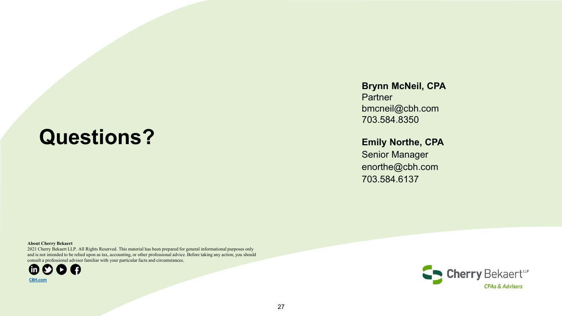## **Questions?**

### **Brynn McNeil, CPA**

**Partner** bmcneil@cbh.com 703.584.8350

### **Emily Northe, CPA**

Senior Manager enorthe@cbh.com 703.584.6137

#### **About Cherry Bekaert**

2021 Cherry Bekaert LLP. All Rights Reserved. This material has been prepared for general informational purposes only and is not intended to be relied upon as tax, accounting, or other professional advice. Before taking any action, you should consult a professional advisor familiar with your particular facts and circumstances.



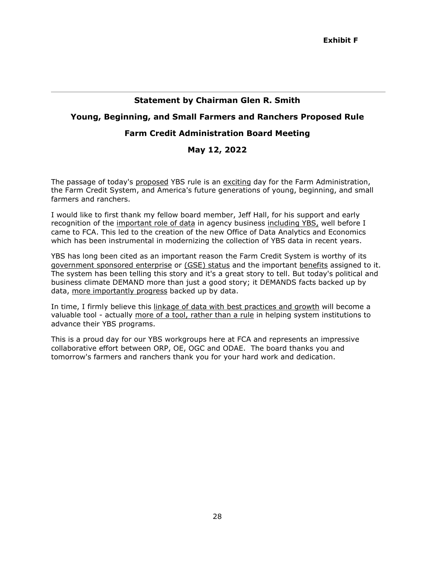#### **Statement by Chairman Glen R. Smith**

### **Young, Beginning, and Small Farmers and Ranchers Proposed Rule**

### **Farm Credit Administration Board Meeting**

### **May 12, 2022**

The passage of today's proposed YBS rule is an exciting day for the Farm Administration, the Farm Credit System, and America's future generations of young, beginning, and small farmers and ranchers.

I would like to first thank my fellow board member, Jeff Hall, for his support and early recognition of the important role of data in agency business including YBS, well before I came to FCA. This led to the creation of the new Office of Data Analytics and Economics which has been instrumental in modernizing the collection of YBS data in recent years.

YBS has long been cited as an important reason the Farm Credit System is worthy of its government sponsored enterprise or (GSE) status and the important benefits assigned to it. The system has been telling this story and it's a great story to tell. But today's political and business climate DEMAND more than just a good story; it DEMANDS facts backed up by data, more importantly progress backed up by data.

In time, I firmly believe this linkage of data with best practices and growth will become a valuable tool - actually more of a tool, rather than a rule in helping system institutions to advance their YBS programs.

This is a proud day for our YBS workgroups here at FCA and represents an impressive collaborative effort between ORP, OE, OGC and ODAE. The board thanks you and tomorrow's farmers and ranchers thank you for your hard work and dedication.